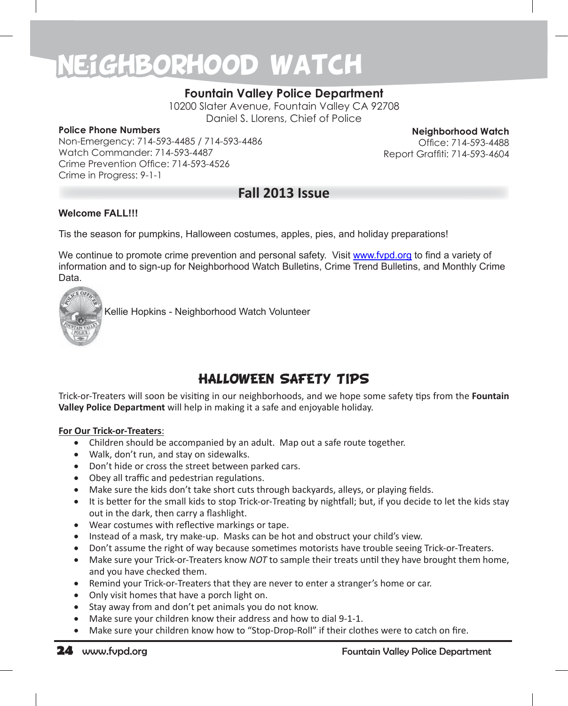### **Fountain Valley Police Department**

10200 Slater Avenue, Fountain Valley CA 92708 Daniel S. Llorens, Chief of Police

#### **Police Phone Numbers**

Non-Emergency: 714-593-4485 / 714-593-4486 Watch Commander: 714-593-4487 Crime Prevention Office: 714-593-4526 Crime in Progress: 9-1-1

**Neighborhood Watch** Office: 714-593-4488 Report Graffiti: 714-593-4604

### **Fall 2013 Issue**

#### **Welcome FALL!!!**

Tis the season for pumpkins, Halloween costumes, apples, pies, and holiday preparations!

We continue to promote crime prevention and personal safety. Visit www.fypd.org to find a variety of information and to sign-up for Neighborhood Watch Bulletins, Crime Trend Bulletins, and Monthly Crime Data.



Kellie Hopkins - Neighborhood Watch Volunteer

# HALLOWEEN SAFETY TIPS

Trick-or-Treaters will soon be visiting in our neighborhoods, and we hope some safety tips from the **Fountain Valley Police Department** will help in making it a safe and enjoyable holiday.

#### **For Our Trick-or-Treaters**:

- Children should be accompanied by an adult. Map out a safe route together.
- Walk, don't run, and stay on sidewalks.
- Don't hide or cross the street between parked cars.
- Obey all traffic and pedestrian regulations.
- Make sure the kids don't take short cuts through backyards, alleys, or playing fields.
- It is better for the small kids to stop Trick-or-Treating by nightfall; but, if you decide to let the kids stay out in the dark, then carry a flashlight.
- • Wear costumes with reflective markings or tape.
- Instead of a mask, try make-up. Masks can be hot and obstruct your child's view.
- Don't assume the right of way because sometimes motorists have trouble seeing Trick-or-Treaters.
- Make sure your Trick-or-Treaters know *NOT* to sample their treats until they have brought them home, and you have checked them.
- Remind your Trick-or-Treaters that they are never to enter a stranger's home or car.
- Only visit homes that have a porch light on.
- Stay away from and don't pet animals you do not know.
- Make sure your children know their address and how to dial 9-1-1.
- Make sure your children know how to "Stop-Drop-Roll" if their clothes were to catch on fire.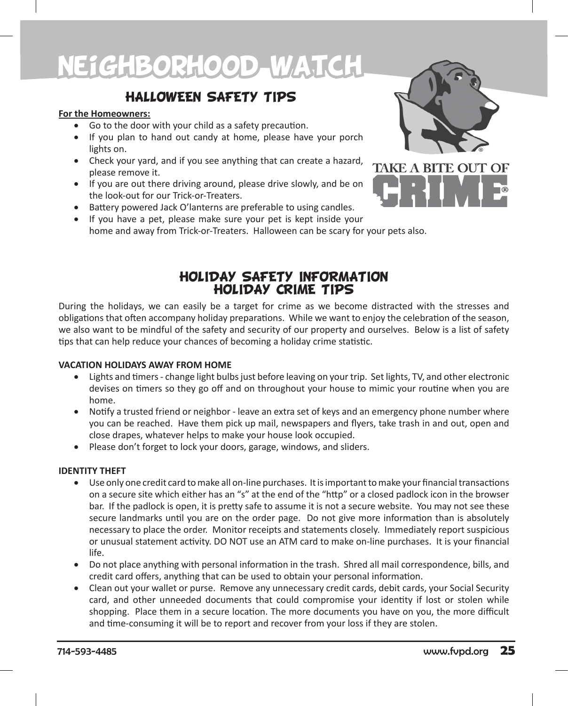# HALLOWEEN SAFETY TIPS

#### **For the Homeowners:**

- Go to the door with your child as a safety precaution.
- If you plan to hand out candy at home, please have your porch lights on.
- Check your yard, and if you see anything that can create a hazard, please remove it.
- If you are out there driving around, please drive slowly, and be on the look-out for our Trick-or-Treaters.
- Battery powered Jack O'lanterns are preferable to using candles.
- If you have a pet, please make sure your pet is kept inside your home and away from Trick-or-Treaters. Halloween can be scary for your pets also.



# HOLIDAY SAFETY INFORMATION HOLIDAY CRIME TIPS

During the holidays, we can easily be a target for crime as we become distracted with the stresses and obligations that often accompany holiday preparations. While we want to enjoy the celebration of the season, we also want to be mindful of the safety and security of our property and ourselves. Below is a list of safety tips that can help reduce your chances of becoming a holiday crime statistic.

#### **VACATION HOLIDAYS AWAY FROM HOME**

- Lights and timers change light bulbs just before leaving on your trip. Set lights, TV, and other electronic devises on timers so they go off and on throughout your house to mimic your routine when you are home.
- Notify a trusted friend or neighbor leave an extra set of keys and an emergency phone number where you can be reached. Have them pick up mail, newspapers and flyers, take trash in and out, open and close drapes, whatever helps to make your house look occupied.
- Please don't forget to lock your doors, garage, windows, and sliders.

#### **IDENTITY THEFT**

- • Use only one credit card to make all on-line purchases. It is important to make your financial transactions on a secure site which either has an "s" at the end of the "http" or a closed padlock icon in the browser bar. If the padlock is open, it is pretty safe to assume it is not a secure website. You may not see these secure landmarks until you are on the order page. Do not give more information than is absolutely necessary to place the order. Monitor receipts and statements closely. Immediately report suspicious or unusual statement activity. DO NOT use an ATM card to make on-line purchases. It is your financial life.
- Do not place anything with personal information in the trash. Shred all mail correspondence, bills, and credit card offers, anything that can be used to obtain your personal information.
- Clean out your wallet or purse. Remove any unnecessary credit cards, debit cards, your Social Security card, and other unneeded documents that could compromise your identity if lost or stolen while shopping. Place them in a secure location. The more documents you have on you, the more difficult and time-consuming it will be to report and recover from your loss if they are stolen.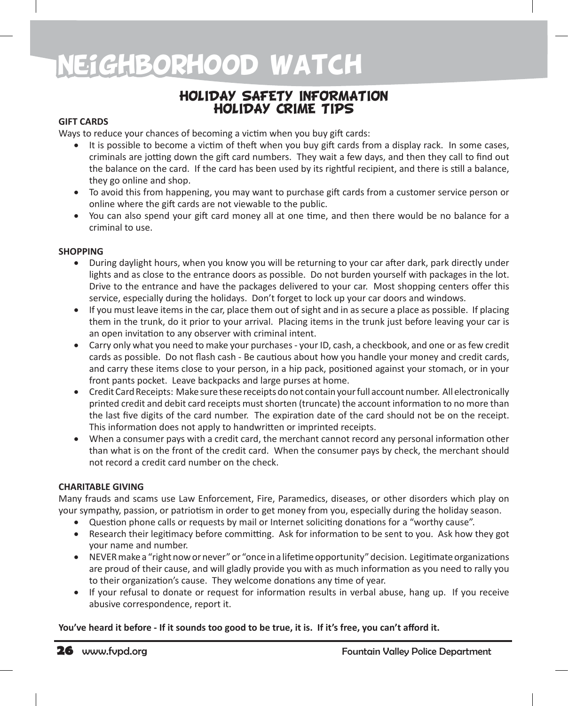### HOLIDAY SAFETY INFORMATION HOLIDAY CRIME TIPS

### **GIFT CARDS**

Ways to reduce your chances of becoming a victim when you buy gift cards:

- It is possible to become a victim of theft when you buy gift cards from a display rack. In some cases, criminals are jotting down the gift card numbers. They wait a few days, and then they call to find out the balance on the card. If the card has been used by its rightful recipient, and there is still a balance, they go online and shop.
- To avoid this from happening, you may want to purchase gift cards from a customer service person or online where the gift cards are not viewable to the public.
- • You can also spend your gift card money all at one time, and then there would be no balance for a criminal to use.

#### **SHOPPING**

- During daylight hours, when you know you will be returning to your car after dark, park directly under lights and as close to the entrance doors as possible. Do not burden yourself with packages in the lot. Drive to the entrance and have the packages delivered to your car. Most shopping centers offer this service, especially during the holidays. Don't forget to lock up your car doors and windows.
- If you must leave items in the car, place them out of sight and in as secure a place as possible. If placing them in the trunk, do it prior to your arrival. Placing items in the trunk just before leaving your car is an open invitation to any observer with criminal intent.
- Carry only what you need to make your purchases your ID, cash, a checkbook, and one or as few credit cards as possible. Do not flash cash - Be cautious about how you handle your money and credit cards, and carry these items close to your person, in a hip pack, positioned against your stomach, or in your front pants pocket. Leave backpacks and large purses at home.
- • Credit Card Receipts: Make sure these receipts do not contain your full account number. All electronically printed credit and debit card receipts must shorten (truncate) the account information to no more than the last five digits of the card number. The expiration date of the card should not be on the receipt. This information does not apply to handwritten or imprinted receipts.
- When a consumer pays with a credit card, the merchant cannot record any personal information other than what is on the front of the credit card. When the consumer pays by check, the merchant should not record a credit card number on the check.

#### **CHARITABLE GIVING**

Many frauds and scams use Law Enforcement, Fire, Paramedics, diseases, or other disorders which play on your sympathy, passion, or patriotism in order to get money from you, especially during the holiday season.

- Question phone calls or requests by mail or Internet soliciting donations for a "worthy cause".
- Research their legitimacy before committing. Ask for information to be sent to you. Ask how they got your name and number.
- • NEVER make a "right now or never" or "once in a lifetime opportunity" decision. Legitimate organizations are proud of their cause, and will gladly provide you with as much information as you need to rally you to their organization's cause. They welcome donations any time of year.
- If your refusal to donate or request for information results in verbal abuse, hang up. If you receive abusive correspondence, report it.

#### **You've heard it before - If it sounds too good to be true, it is. If it's free, you can't afford it.**